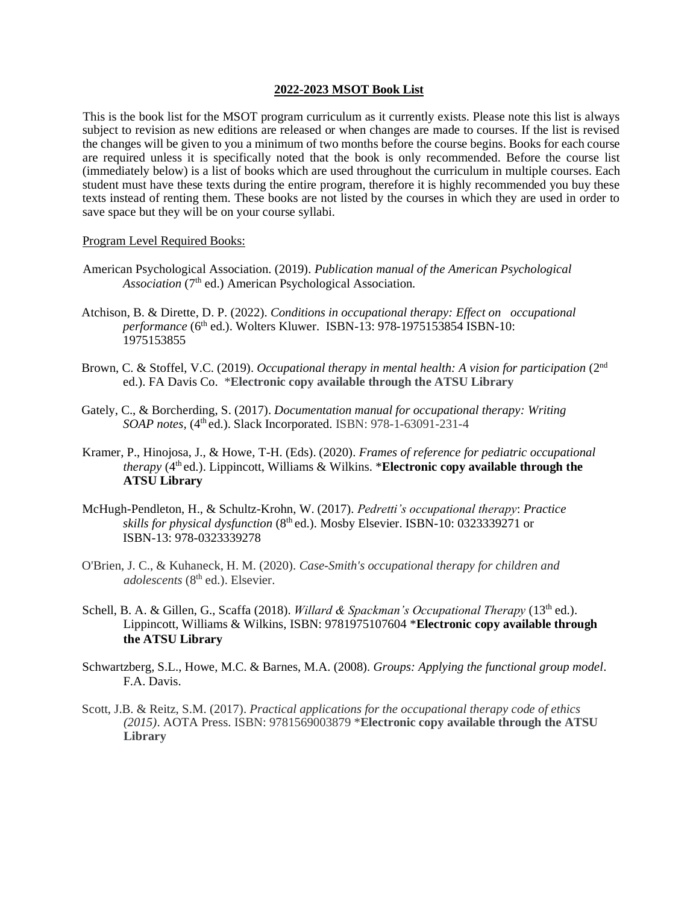## **2022-2023 MSOT Book List**

This is the book list for the MSOT program curriculum as it currently exists. Please note this list is always subject to revision as new editions are released or when changes are made to courses. If the list is revised the changes will be given to you a minimum of two months before the course begins. Books for each course are required unless it is specifically noted that the book is only recommended. Before the course list (immediately below) is a list of books which are used throughout the curriculum in multiple courses. Each student must have these texts during the entire program, therefore it is highly recommended you buy these texts instead of renting them. These books are not listed by the courses in which they are used in order to save space but they will be on your course syllabi.

## Program Level Required Books:

- American Psychological Association. (2019). *Publication manual of the American Psychological* Association (7<sup>th</sup> ed.) American Psychological Association.
- Atchison, B. & Dirette, D. P. (2022). *Conditions in occupational therapy: Effect on occupational performance* (6<sup>th</sup> ed.). Wolters Kluwer. ISBN-13: 978-1975153854 ISBN-10: 1975153855
- Brown, C. & Stoffel, V.C. (2019). *Occupational therapy in mental health: A vision for participation* (2<sup>nd</sup> ed.). FA Davis Co. \***Electronic copy available through the ATSU Library**
- Gately, C., & Borcherding, S. (2017). *Documentation manual for occupational therapy: Writing SOAP notes,* (4<sup>th</sup> ed.). Slack Incorporated. ISBN: 978-1-63091-231-4
- Kramer, P., Hinojosa, J., & Howe, T-H. (Eds). (2020). *Frames of reference for pediatric occupational therapy*  $(4<sup>th</sup>$  ed.). Lippincott, Williams & Wilkins. \***Electronic copy available through the ATSU Library**
- McHugh-Pendleton, H., & Schultz-Krohn, W. (2017). *Pedretti's occupational therapy*: *Practice skills for physical dysfunction* (8th ed.). Mosby Elsevier. ISBN-10: 0323339271 or ISBN-13: 978-0323339278
- O'Brien, J. C., & Kuhaneck, H. M. (2020). *Case-Smith's occupational therapy for children and adolescents* (8th ed.). Elsevier.
- Schell, B. A. & Gillen, G., Scaffa (2018). *Willard & Spackman's Occupational Therapy* (13<sup>th</sup> ed.). Lippincott, Williams & Wilkins, ISBN: 9781975107604 \***Electronic copy available through the ATSU Library**
- Schwartzberg, S.L., Howe, M.C. & Barnes, M.A. (2008). *Groups: Applying the functional group model*. F.A. Davis.
- Scott, J.B. & Reitz, S.M. (2017). *Practical applications for the occupational therapy code of ethics (2015)*. AOTA Press. ISBN: 9781569003879 \***Electronic copy available through the ATSU Library**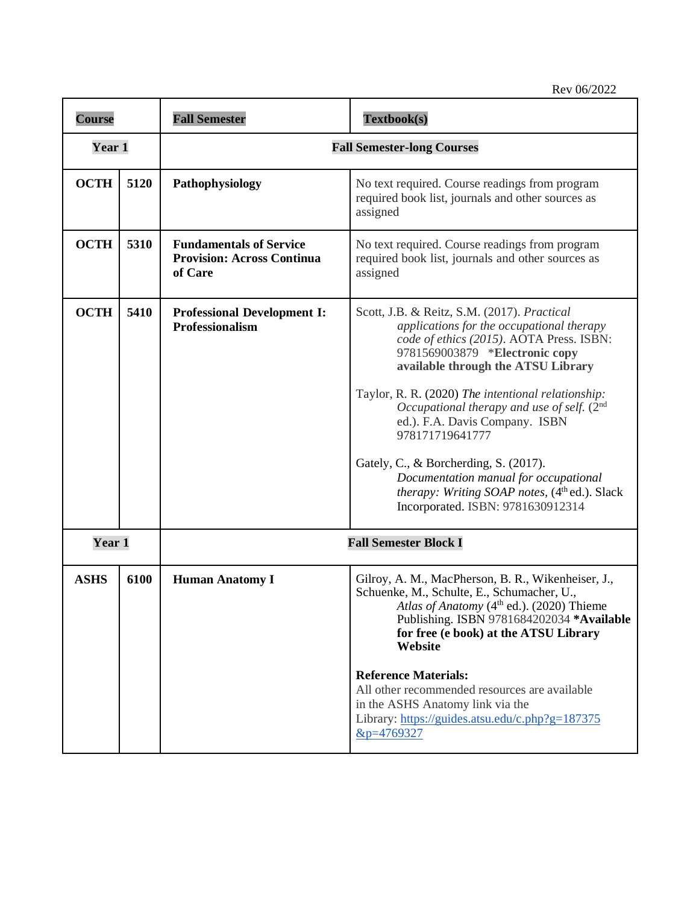| <b>Course</b> |      | <b>Fall Semester</b>                                                           | Textbook(s)                                                                                                                                                                                                                                                                                                                                                                                                                                                                                                                                               |
|---------------|------|--------------------------------------------------------------------------------|-----------------------------------------------------------------------------------------------------------------------------------------------------------------------------------------------------------------------------------------------------------------------------------------------------------------------------------------------------------------------------------------------------------------------------------------------------------------------------------------------------------------------------------------------------------|
| Year 1        |      | <b>Fall Semester-long Courses</b>                                              |                                                                                                                                                                                                                                                                                                                                                                                                                                                                                                                                                           |
| <b>OCTH</b>   | 5120 | Pathophysiology                                                                | No text required. Course readings from program<br>required book list, journals and other sources as<br>assigned                                                                                                                                                                                                                                                                                                                                                                                                                                           |
| <b>OCTH</b>   | 5310 | <b>Fundamentals of Service</b><br><b>Provision: Across Continua</b><br>of Care | No text required. Course readings from program<br>required book list, journals and other sources as<br>assigned                                                                                                                                                                                                                                                                                                                                                                                                                                           |
| <b>OCTH</b>   | 5410 | <b>Professional Development I:</b><br>Professionalism                          | Scott, J.B. & Reitz, S.M. (2017). Practical<br>applications for the occupational therapy<br>code of ethics (2015). AOTA Press. ISBN:<br>9781569003879 *Electronic copy<br>available through the ATSU Library<br>Taylor, R. R. (2020) The intentional relationship:<br>Occupational therapy and use of self. (2 <sup>nd</sup><br>ed.). F.A. Davis Company. ISBN<br>978171719641777<br>Gately, C., & Borcherding, S. (2017).<br>Documentation manual for occupational<br>therapy: Writing SOAP notes, (4th ed.). Slack<br>Incorporated. ISBN: 9781630912314 |
| Year 1        |      | <b>Fall Semester Block I</b>                                                   |                                                                                                                                                                                                                                                                                                                                                                                                                                                                                                                                                           |
| <b>ASHS</b>   | 6100 | <b>Human Anatomy I</b>                                                         | Gilroy, A. M., MacPherson, B. R., Wikenheiser, J.,<br>Schuenke, M., Schulte, E., Schumacher, U.,<br>Atlas of Anatomy (4 <sup>th</sup> ed.). (2020) Thieme<br>Publishing. ISBN 9781684202034 *Available<br>for free (e book) at the ATSU Library<br>Website<br><b>Reference Materials:</b><br>All other recommended resources are available<br>in the ASHS Anatomy link via the<br>Library: https://guides.atsu.edu/c.php?g=187375<br>&p=4769327                                                                                                           |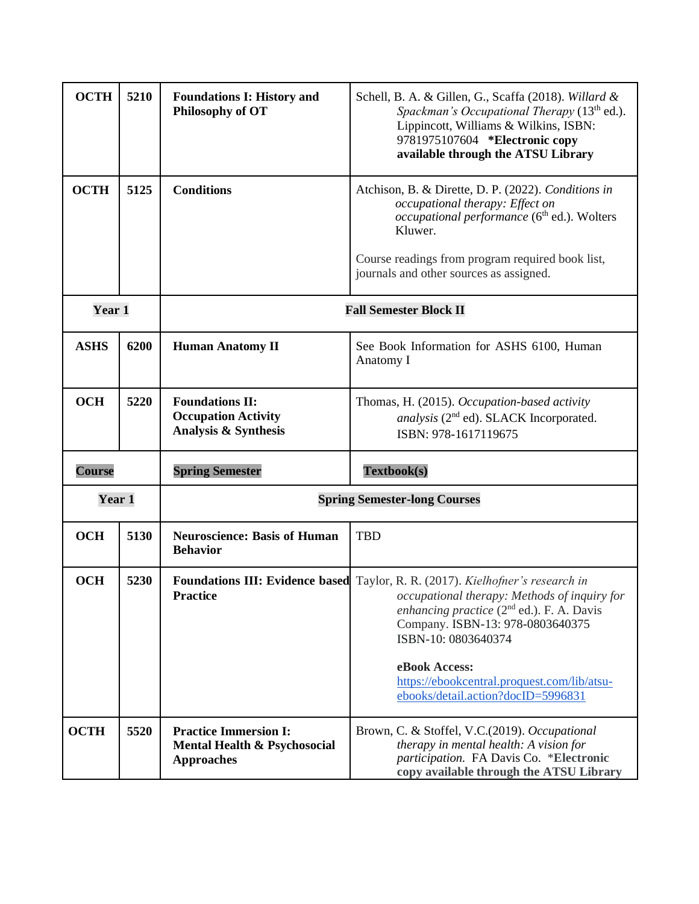| <b>OCTH</b>   | 5210 | <b>Foundations I: History and</b><br>Philosophy of OT                             | Schell, B. A. & Gillen, G., Scaffa (2018). Willard &<br>Spackman's Occupational Therapy (13 <sup>th</sup> ed.).<br>Lippincott, Williams & Wilkins, ISBN:<br>9781975107604 *Electronic copy<br>available through the ATSU Library                                                                                                                  |
|---------------|------|-----------------------------------------------------------------------------------|---------------------------------------------------------------------------------------------------------------------------------------------------------------------------------------------------------------------------------------------------------------------------------------------------------------------------------------------------|
| <b>OCTH</b>   | 5125 | <b>Conditions</b>                                                                 | Atchison, B. & Dirette, D. P. (2022). Conditions in<br>occupational therapy: Effect on<br>occupational performance (6 <sup>th</sup> ed.). Wolters<br>Kluwer.<br>Course readings from program required book list,<br>journals and other sources as assigned.                                                                                       |
| Year 1        |      | <b>Fall Semester Block II</b>                                                     |                                                                                                                                                                                                                                                                                                                                                   |
| <b>ASHS</b>   | 6200 | <b>Human Anatomy II</b>                                                           | See Book Information for ASHS 6100, Human<br>Anatomy I                                                                                                                                                                                                                                                                                            |
| <b>OCH</b>    | 5220 | <b>Foundations II:</b><br><b>Occupation Activity</b><br>Analysis & Synthesis      | Thomas, H. (2015). Occupation-based activity<br>analysis (2 <sup>nd</sup> ed). SLACK Incorporated.<br>ISBN: 978-1617119675                                                                                                                                                                                                                        |
| <b>Course</b> |      | <b>Spring Semester</b>                                                            | Textbook(s)                                                                                                                                                                                                                                                                                                                                       |
| Year 1        |      | <b>Spring Semester-long Courses</b>                                               |                                                                                                                                                                                                                                                                                                                                                   |
| <b>OCH</b>    | 5130 | <b>Neuroscience: Basis of Human</b><br><b>Behavior</b>                            | <b>TBD</b>                                                                                                                                                                                                                                                                                                                                        |
| <b>OCH</b>    | 5230 | Practice                                                                          | Foundations III: Evidence based Taylor, R. R. (2017). Kielhofner's research in<br>occupational therapy: Methods of inquiry for<br>enhancing practice $(2^{nd}$ ed.). F. A. Davis<br>Company. ISBN-13: 978-0803640375<br>ISBN-10: 0803640374<br>eBook Access:<br>https://ebookcentral.proquest.com/lib/atsu-<br>ebooks/detail.action?docID=5996831 |
| <b>OCTH</b>   | 5520 | <b>Practice Immersion I:</b><br>Mental Health & Psychosocial<br><b>Approaches</b> | Brown, C. & Stoffel, V.C.(2019). Occupational<br>therapy in mental health: A vision for<br>participation. FA Davis Co. *Electronic<br>copy available through the ATSU Library                                                                                                                                                                     |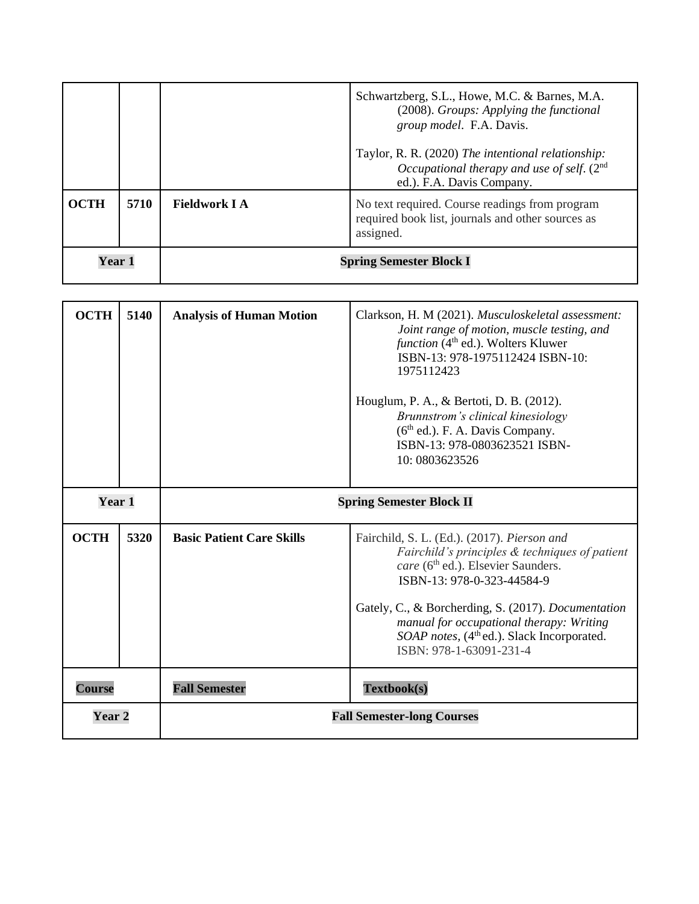|               |      |                                | Schwartzberg, S.L., Howe, M.C. & Barnes, M.A.<br>(2008). Groups: Applying the functional<br>group model. F.A. Davis.            |
|---------------|------|--------------------------------|---------------------------------------------------------------------------------------------------------------------------------|
|               |      |                                | Taylor, R. R. (2020) The intentional relationship:<br>Occupational therapy and use of self. $(2nd$<br>ed.). F.A. Davis Company. |
| <b>OCTH</b>   | 5710 | <b>Fieldwork I A</b>           | No text required. Course readings from program<br>required book list, journals and other sources as<br>assigned.                |
| <b>Year 1</b> |      | <b>Spring Semester Block I</b> |                                                                                                                                 |

| <b>OCTH</b>       | 5140 | <b>Analysis of Human Motion</b>   | Clarkson, H. M (2021). Musculoskeletal assessment:<br>Joint range of motion, muscle testing, and<br>function (4 <sup>th</sup> ed.). Wolters Kluwer<br>ISBN-13: 978-1975112424 ISBN-10:<br>1975112423<br>Houglum, P. A., & Bertoti, D. B. (2012).<br>Brunnstrom's clinical kinesiology<br>$(6th$ ed.). F. A. Davis Company.<br>ISBN-13: 978-0803623521 ISBN-<br>10: 0803623526 |
|-------------------|------|-----------------------------------|-------------------------------------------------------------------------------------------------------------------------------------------------------------------------------------------------------------------------------------------------------------------------------------------------------------------------------------------------------------------------------|
| Year 1            |      | <b>Spring Semester Block II</b>   |                                                                                                                                                                                                                                                                                                                                                                               |
| <b>OCTH</b>       | 5320 | <b>Basic Patient Care Skills</b>  | Fairchild, S. L. (Ed.). (2017). Pierson and<br>Fairchild's principles & techniques of patient<br>care (6 <sup>th</sup> ed.). Elsevier Saunders.<br>ISBN-13: 978-0-323-44584-9<br>Gately, C., & Borcherding, S. (2017). Documentation<br>manual for occupational therapy: Writing<br>SOAP notes, (4 <sup>th</sup> ed.). Slack Incorporated.<br>ISBN: 978-1-63091-231-4         |
| <b>Course</b>     |      | <b>Fall Semester</b>              | Textbook(s)                                                                                                                                                                                                                                                                                                                                                                   |
| Year <sub>2</sub> |      | <b>Fall Semester-long Courses</b> |                                                                                                                                                                                                                                                                                                                                                                               |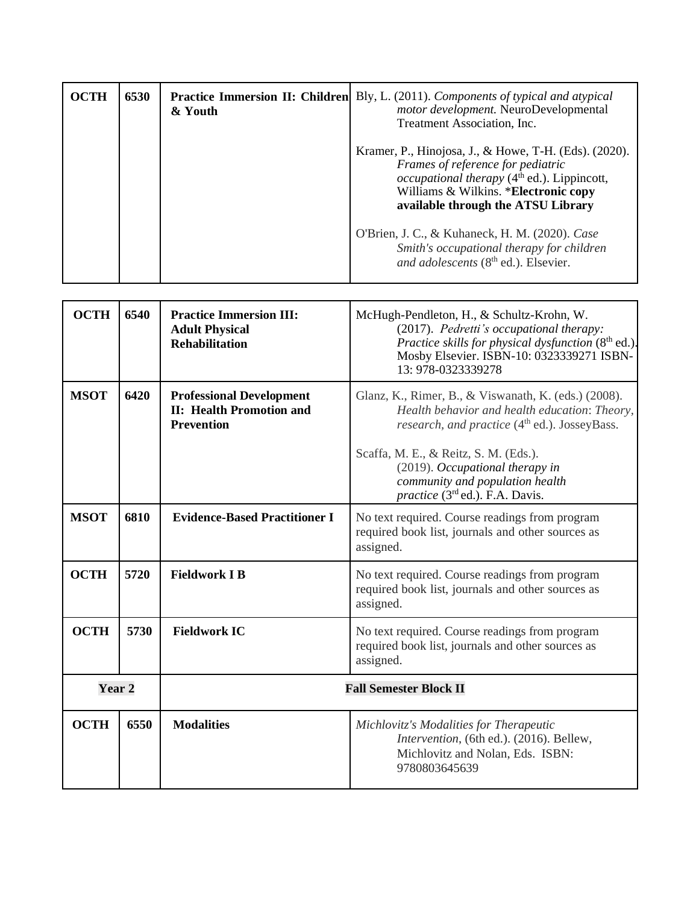| <b>OCTH</b> | 6530 | & Youth | <b>Practice Immersion II: Children</b> Bly, L. (2011). Components of typical and atypical<br>motor development. NeuroDevelopmental<br>Treatment Association, Inc.                                                         |
|-------------|------|---------|---------------------------------------------------------------------------------------------------------------------------------------------------------------------------------------------------------------------------|
|             |      |         | Kramer, P., Hinojosa, J., & Howe, T-H. (Eds). (2020).<br>Frames of reference for pediatric<br>occupational therapy $(4th$ ed.). Lippincott,<br>Williams & Wilkins. *Electronic copy<br>available through the ATSU Library |
|             |      |         | O'Brien, J. C., & Kuhaneck, H. M. (2020). Case<br>Smith's occupational therapy for children<br>and adolescents (8 <sup>th</sup> ed.). Elsevier.                                                                           |

| <b>OCTH</b> | 6540 | <b>Practice Immersion III:</b><br><b>Adult Physical</b><br><b>Rehabilitation</b>        | McHugh-Pendleton, H., & Schultz-Krohn, W.<br>(2017). Pedretti's occupational therapy:<br>Practice skills for physical dysfunction $(8th$ ed.).<br>Mosby Elsevier. ISBN-10: 0323339271 ISBN-<br>13: 978-0323339278 |
|-------------|------|-----------------------------------------------------------------------------------------|-------------------------------------------------------------------------------------------------------------------------------------------------------------------------------------------------------------------|
| <b>MSOT</b> | 6420 | <b>Professional Development</b><br><b>II: Health Promotion and</b><br><b>Prevention</b> | Glanz, K., Rimer, B., & Viswanath, K. (eds.) (2008).<br>Health behavior and health education: Theory,<br>research, and practice (4 <sup>th</sup> ed.). JosseyBass.                                                |
|             |      |                                                                                         | Scaffa, M. E., & Reitz, S. M. (Eds.).<br>(2019). Occupational therapy in<br>community and population health<br>practice (3rd ed.). F.A. Davis.                                                                    |
| <b>MSOT</b> | 6810 | <b>Evidence-Based Practitioner I</b>                                                    | No text required. Course readings from program<br>required book list, journals and other sources as<br>assigned.                                                                                                  |
| <b>OCTH</b> | 5720 | <b>Fieldwork I B</b>                                                                    | No text required. Course readings from program<br>required book list, journals and other sources as<br>assigned.                                                                                                  |
| <b>OCTH</b> | 5730 | <b>Fieldwork IC</b>                                                                     | No text required. Course readings from program<br>required book list, journals and other sources as<br>assigned.                                                                                                  |
| Year 2      |      | <b>Fall Semester Block II</b>                                                           |                                                                                                                                                                                                                   |
| <b>OCTH</b> | 6550 | <b>Modalities</b>                                                                       | Michlovitz's Modalities for Therapeutic<br>Intervention, (6th ed.). (2016). Bellew,<br>Michlovitz and Nolan, Eds. ISBN:<br>9780803645639                                                                          |